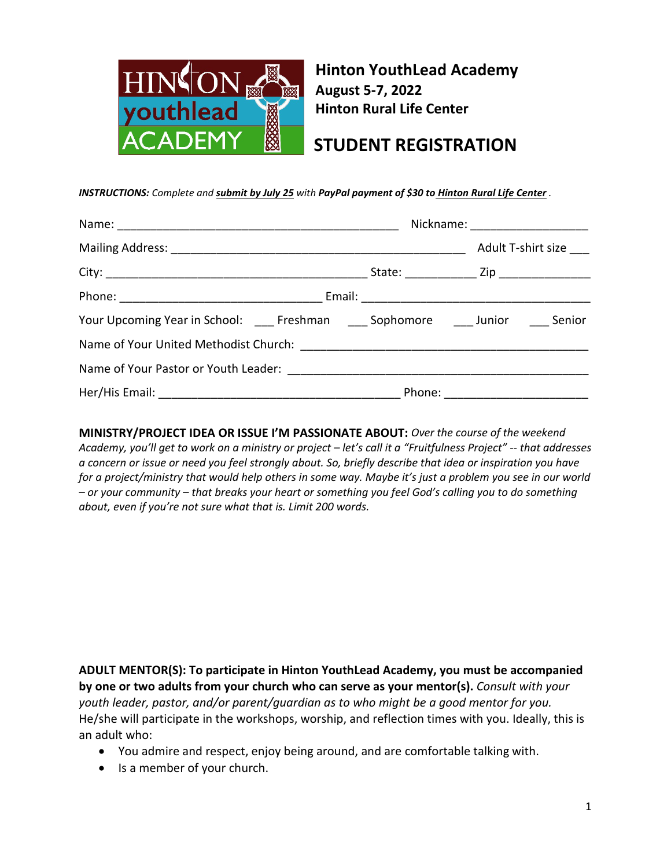

**Hinton YouthLead Academy August 5-7, 2022 Hinton Rural Life Center**

## **STUDENT REGISTRATION**

*INSTRUCTIONS: Complete and submit by July 25 with PayPal payment of \$30 to Hinton Rural Life Center .*

|                                                                                    |  | Nickname: ______________________ |  |  |  |
|------------------------------------------------------------------------------------|--|----------------------------------|--|--|--|
|                                                                                    |  | Adult T-shirt size               |  |  |  |
|                                                                                    |  |                                  |  |  |  |
|                                                                                    |  |                                  |  |  |  |
| Your Upcoming Year in School: ____ Freshman ____ Sophomore ____ Junior ____ Senior |  |                                  |  |  |  |
|                                                                                    |  |                                  |  |  |  |
|                                                                                    |  |                                  |  |  |  |
|                                                                                    |  |                                  |  |  |  |

**MINISTRY/PROJECT IDEA OR ISSUE I'M PASSIONATE ABOUT:** *Over the course of the weekend Academy, you'll get to work on a ministry or project – let's call it a "Fruitfulness Project" -- that addresses a concern or issue or need you feel strongly about. So, briefly describe that idea or inspiration you have for a project/ministry that would help others in some way. Maybe it's just a problem you see in our world – or your community – that breaks your heart or something you feel God's calling you to do something about, even if you're not sure what that is. Limit 200 words.*

**ADULT MENTOR(S): To participate in Hinton YouthLead Academy, you must be accompanied by one or two adults from your church who can serve as your mentor(s).** *Consult with your youth leader, pastor, and/or parent/guardian as to who might be a good mentor for you.* He/she will participate in the workshops, worship, and reflection times with you. Ideally, this is an adult who:

- You admire and respect, enjoy being around, and are comfortable talking with.
- Is a member of your church.